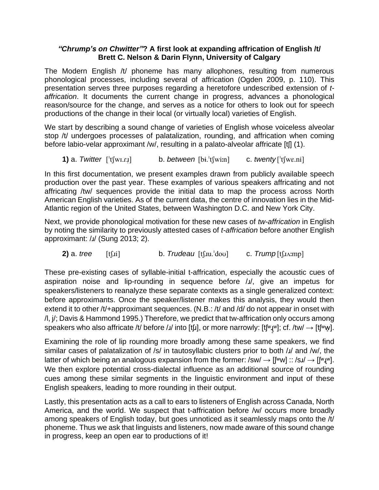## *"Chrump's on Chwitter"***? A first look at expanding affrication of English /t/ Brett C. Nelson & Darin Flynn, University of Calgary**

The Modern English /t/ phoneme has many allophones, resulting from numerous phonological processes, including several of affrication (Ogden 2009, p. 110). This presentation serves three purposes regarding a heretofore undescribed extension of *taffrication*. It documents the current change in progress, advances a phonological reason/source for the change, and serves as a notice for others to look out for speech productions of the change in their local (or virtually local) varieties of English.

We start by describing a sound change of varieties of English whose voiceless alveolar stop /t/ undergoes processes of palatalization, rounding, and affrication when coming before labio-velar approximant /w/, resulting in a palato-alveolar affricate [t[] (1).

**1)** a. *Twitter* [<sup>t</sup>[wi.r.i] b. *between* [bi.<sup>t</sup>[win] c. *twenty* [<sup>t</sup>[wɛ.ni]

In this first documentation, we present examples drawn from publicly available speech production over the past year. These examples of various speakers affricating and not affricating /tw/ sequences provide the initial data to map the process across North American English varieties. As of the current data, the centre of innovation lies in the Mid-Atlantic region of the United States, between Washington D.C. and New York City.

Next, we provide phonological motivation for these new cases of *tw-affrication* in English by noting the similarity to previously attested cases of *t-affrication* before another English approximant: /ɹ/ (Sung 2013; 2).

**2)** a. *tree* [t[i] b. *Trudeau* [t[ju.<sup>1</sup>dou] c. *Trump* [t[ju.imp]

These pre-existing cases of syllable-initial t-affrication, especially the acoustic cues of aspiration noise and lip-rounding in sequence before /ɹ/, give an impetus for speakers/listeners to reanalyze these separate contexts as a single generalized context: before approximants. Once the speaker/listener makes this analysis, they would then extend it to other /t/+approximant sequences. (N.B.: /t/ and /d/ do not appear in onset with /l, j/; Davis & Hammond 1995.) Therefore, we predict that tw-affrication only occurs among speakers who also affricate /t/ before /ɹ/ into [t[ɹ], or more narrowly: [t[ʷɪ̯w]; cf. /tw/  $\rightarrow$  [t[ʷw̪].

Examining the role of lip rounding more broadly among these same speakers, we find similar cases of palatalization of /s/ in tautosyllabic clusters prior to both /J/ and /w/, the latter of which being an analogous expansion from the former:  $\frac{1}{s}$   $\rightarrow$   $\frac{1}{s}$   $\rightarrow$   $\frac{1}{s}$   $\rightarrow$   $\frac{1}{s}$   $\rightarrow$   $\frac{1}{s}$   $\rightarrow$   $\frac{1}{s}$   $\rightarrow$   $\frac{1}{s}$   $\rightarrow$   $\frac{1}{s}$   $\rightarrow$   $\frac{1}{s}$   $\rightarrow$   $\frac{1}{s}$   $\rightarrow$   $\frac{1}{s}$ We then explore potential cross-dialectal influence as an additional source of rounding cues among these similar segments in the linguistic environment and input of these English speakers, leading to more rounding in their output.

Lastly, this presentation acts as a call to ears to listeners of English across Canada, North America, and the world. We suspect that t-affrication before /w/ occurs more broadly among speakers of English today, but goes unnoticed as it seamlessly maps onto the /t/ phoneme. Thus we ask that linguists and listeners, now made aware of this sound change in progress, keep an open ear to productions of it!